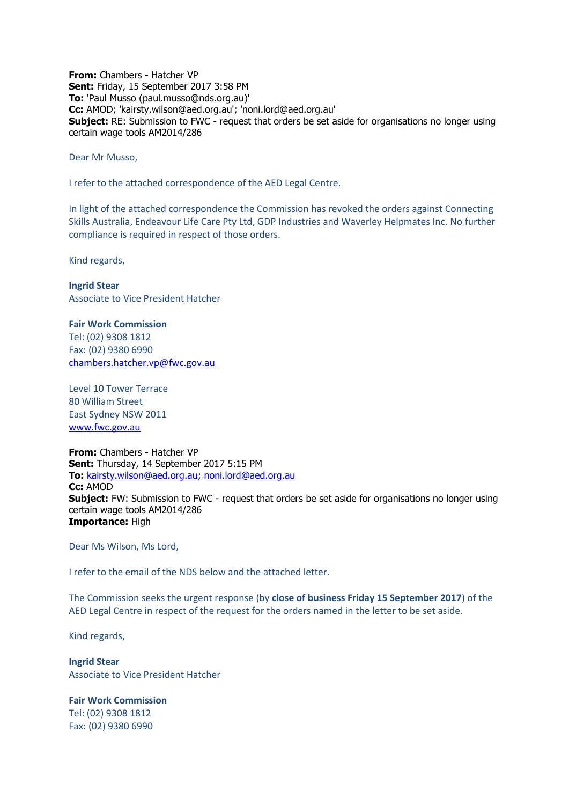**From:** Chambers - Hatcher VP **Sent:** Friday, 15 September 2017 3:58 PM **To:** 'Paul Musso (paul.musso@nds.org.au)' **Cc:** AMOD; 'kairsty.wilson@aed.org.au'; 'noni.lord@aed.org.au' **Subject:** RE: Submission to FWC - request that orders be set aside for organisations no longer using certain wage tools AM2014/286

Dear Mr Musso,

I refer to the attached correspondence of the AED Legal Centre.

In light of the attached correspondence the Commission has revoked the orders against Connecting Skills Australia, Endeavour Life Care Pty Ltd, GDP Industries and Waverley Helpmates Inc. No further compliance is required in respect of those orders.

Kind regards,

**Ingrid Stear** Associate to Vice President Hatcher

**Fair Work Commission**  Tel: (02) 9308 1812 Fax: (02) 9380 6990 [chambers.hatcher.vp@fwc.gov.au](mailto:chambers.hatcher.vp@fwc.gov.au) 

Level 10 Tower Terrace 80 William Street East Sydney NSW 2011 [www.fwc.gov.au](http://www.fwc.gov.au/)

**From:** Chambers - Hatcher VP **Sent:** Thursday, 14 September 2017 5:15 PM **To:** [kairsty.wilson@aed.org.au;](mailto:kairsty.wilson@aed.org.au) [noni.lord@aed.org.au](mailto:noni.lord@aed.org.au) **Cc:** AMOD **Subject:** FW: Submission to FWC - request that orders be set aside for organisations no longer using certain wage tools AM2014/286 **Importance:** High

Dear Ms Wilson, Ms Lord,

I refer to the email of the NDS below and the attached letter.

The Commission seeks the urgent response (by **close of business Friday 15 September 2017**) of the AED Legal Centre in respect of the request for the orders named in the letter to be set aside.

Kind regards,

**Ingrid Stear** Associate to Vice President Hatcher

**Fair Work Commission**  Tel: (02) 9308 1812 Fax: (02) 9380 6990